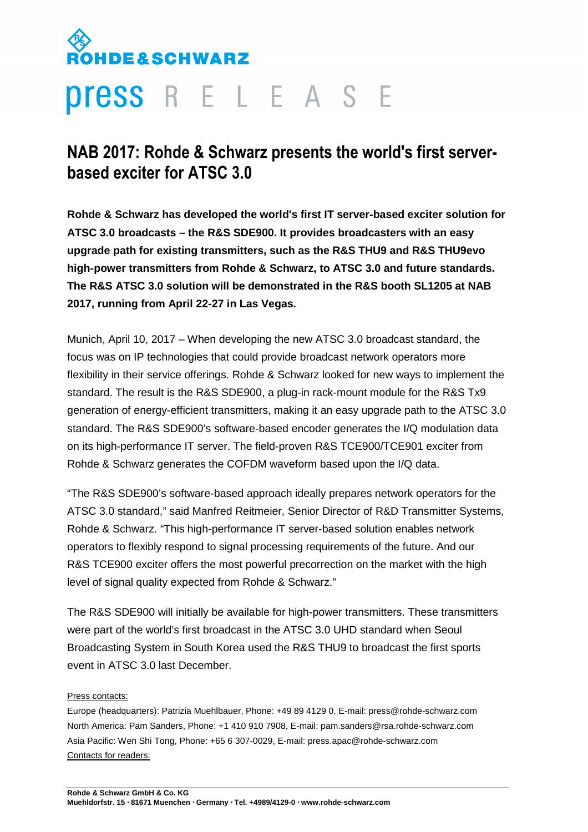# **DE&SCHWARZ**

## **Press** R E L E A S E

## **NAB 2017: Rohde & Schwarz presents the world's first serverbased exciter for ATSC 3.0**

**Rohde & Schwarz has developed the world's first IT server-based exciter solution for ATSC 3.0 broadcasts – the R&S SDE900. It provides broadcasters with an easy upgrade path for existing transmitters, such as the R&S THU9 and R&S THU9evo high-power transmitters from Rohde & Schwarz, to ATSC 3.0 and future standards. The R&S ATSC 3.0 solution will be demonstrated in the R&S booth SL1205 at NAB 2017, running from April 22-27 in Las Vegas.** 

Munich, April 10, 2017 – When developing the new ATSC 3.0 broadcast standard, the focus was on IP technologies that could provide broadcast network operators more flexibility in their service offerings. Rohde & Schwarz looked for new ways to implement the standard. The result is the R&S SDE900, a plug-in rack-mount module for the R&S Tx9 generation of energy-efficient transmitters, making it an easy upgrade path to the ATSC 3.0 standard. The R&S SDE900's software-based encoder generates the I/Q modulation data on its high-performance IT server. The field-proven R&S TCE900/TCE901 exciter from Rohde & Schwarz generates the COFDM waveform based upon the I/Q data.

"The R&S SDE900's software-based approach ideally prepares network operators for the ATSC 3.0 standard," said Manfred Reitmeier, Senior Director of R&D Transmitter Systems, Rohde & Schwarz. "This high-performance IT server-based solution enables network operators to flexibly respond to signal processing requirements of the future. And our R&S TCE900 exciter offers the most powerful precorrection on the market with the high level of signal quality expected from Rohde & Schwarz."

The R&S SDE900 will initially be available for high-power transmitters. These transmitters were part of the world's first broadcast in the ATSC 3.0 UHD standard when Seoul Broadcasting System in South Korea used the R&S THU9 to broadcast the first sports event in ATSC 3.0 last December.

### Press contacts:

Europe (headquarters): Patrizia Muehlbauer, Phone: +49 89 4129 0, E-mail: press@rohde-schwarz.com North America: Pam Sanders, Phone: +1 410 910 7908, E-mail: pam.sanders@rsa.rohde-schwarz.com Asia Pacific: Wen Shi Tong, Phone: +65 6 307-0029, E-mail: press.apac@rohde-schwarz.com Contacts for readers: